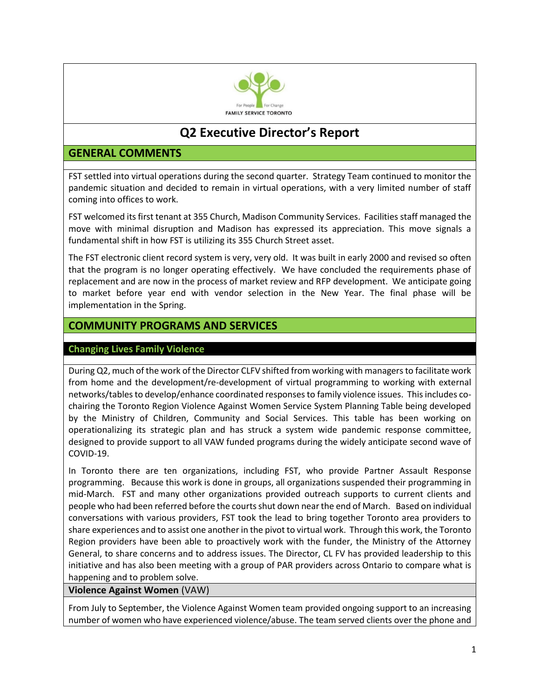

# **Q2 Executive Director's Report**

# **GENERAL COMMENTS**

FST settled into virtual operations during the second quarter. Strategy Team continued to monitor the pandemic situation and decided to remain in virtual operations, with a very limited number of staff coming into offices to work.

FST welcomed its first tenant at 355 Church, Madison Community Services. Facilities staff managed the move with minimal disruption and Madison has expressed its appreciation. This move signals a fundamental shift in how FST is utilizing its 355 Church Street asset.

The FST electronic client record system is very, very old. It was built in early 2000 and revised so often that the program is no longer operating effectively. We have concluded the requirements phase of replacement and are now in the process of market review and RFP development. We anticipate going to market before year end with vendor selection in the New Year. The final phase will be implementation in the Spring.

# **COMMUNITY PROGRAMS AND SERVICES**

#### **Changing Lives Family Violence**

During Q2, much of the work of the Director CLFV shifted from working with managers to facilitate work from home and the development/re-development of virtual programming to working with external networks/tables to develop/enhance coordinated responses to family violence issues. This includes cochairing the Toronto Region Violence Against Women Service System Planning Table being developed by the Ministry of Children, Community and Social Services. This table has been working on operationalizing its strategic plan and has struck a system wide pandemic response committee, designed to provide support to all VAW funded programs during the widely anticipate second wave of COVID-19.

In Toronto there are ten organizations, including FST, who provide Partner Assault Response programming. Because this work is done in groups, all organizations suspended their programming in mid-March. FST and many other organizations provided outreach supports to current clients and people who had been referred before the courts shut down near the end of March. Based on individual conversations with various providers, FST took the lead to bring together Toronto area providers to share experiences and to assist one another in the pivot to virtual work. Through this work, the Toronto Region providers have been able to proactively work with the funder, the Ministry of the Attorney General, to share concerns and to address issues. The Director, CL FV has provided leadership to this initiative and has also been meeting with a group of PAR providers across Ontario to compare what is happening and to problem solve.

#### **Violence Against Women** (VAW)

From July to September, the Violence Against Women team provided ongoing support to an increasing number of women who have experienced violence/abuse. The team served clients over the phone and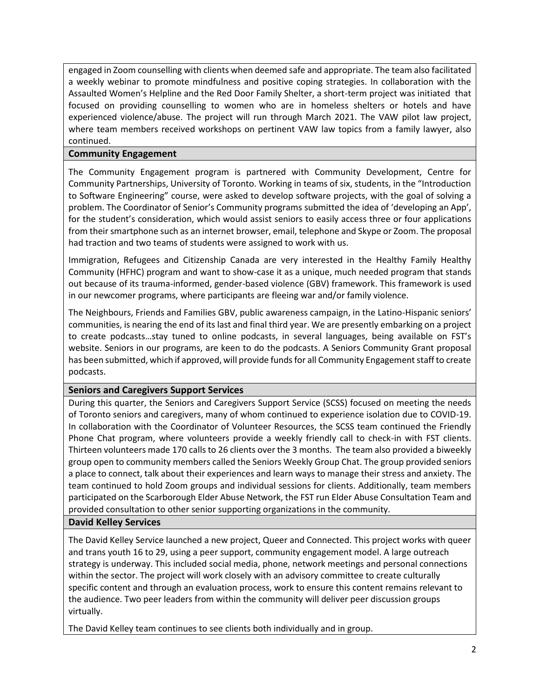engaged in Zoom counselling with clients when deemed safe and appropriate. The team also facilitated a weekly webinar to promote mindfulness and positive coping strategies. In collaboration with the Assaulted Women's Helpline and the Red Door Family Shelter, a short-term project was initiated that focused on providing counselling to women who are in homeless shelters or hotels and have experienced violence/abuse. The project will run through March 2021. The VAW pilot law project, where team members received workshops on pertinent VAW law topics from a family lawyer, also continued.

### **Community Engagement**

The Community Engagement program is partnered with Community Development, Centre for Community Partnerships, University of Toronto. Working in teams of six, students, in the "Introduction to Software Engineering" course, were asked to develop software projects, with the goal of solving a problem. The Coordinator of Senior's Community programs submitted the idea of 'developing an App', for the student's consideration, which would assist seniors to easily access three or four applications from their smartphone such as an internet browser, email, telephone and Skype or Zoom. The proposal had traction and two teams of students were assigned to work with us.

Immigration, Refugees and Citizenship Canada are very interested in the Healthy Family Healthy Community (HFHC) program and want to show-case it as a unique, much needed program that stands out because of its trauma-informed, gender-based violence (GBV) framework. This framework is used in our newcomer programs, where participants are fleeing war and/or family violence.

The Neighbours, Friends and Families GBV, public awareness campaign, in the Latino-Hispanic seniors' communities, is nearing the end of its last and final third year. We are presently embarking on a project to create podcasts…stay tuned to online podcasts, in several languages, being available on FST's website. Seniors in our programs, are keen to do the podcasts. A Seniors Community Grant proposal has been submitted, which if approved, will provide funds for all Community Engagement staff to create podcasts.

### **Seniors and Caregivers Support Services**

During this quarter, the Seniors and Caregivers Support Service (SCSS) focused on meeting the needs of Toronto seniors and caregivers, many of whom continued to experience isolation due to COVID-19. In collaboration with the Coordinator of Volunteer Resources, the SCSS team continued the Friendly Phone Chat program, where volunteers provide a weekly friendly call to check-in with FST clients. Thirteen volunteers made 170 calls to 26 clients over the 3 months. The team also provided a biweekly group open to community members called the Seniors Weekly Group Chat. The group provided seniors a place to connect, talk about their experiences and learn ways to manage their stress and anxiety. The team continued to hold Zoom groups and individual sessions for clients. Additionally, team members participated on the Scarborough Elder Abuse Network, the FST run Elder Abuse Consultation Team and provided consultation to other senior supporting organizations in the community.

### **David Kelley Services**

The David Kelley Service launched a new project, Queer and Connected. This project works with queer and trans youth 16 to 29, using a peer support, community engagement model. A large outreach strategy is underway. This included social media, phone, network meetings and personal connections within the sector. The project will work closely with an advisory committee to create culturally specific content and through an evaluation process, work to ensure this content remains relevant to the audience. Two peer leaders from within the community will deliver peer discussion groups virtually.

The David Kelley team continues to see clients both individually and in group.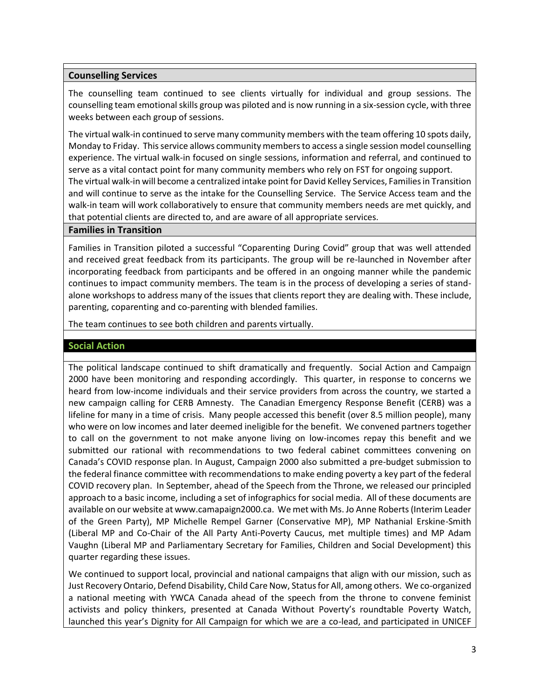#### **Counselling Services**

The counselling team continued to see clients virtually for individual and group sessions. The counselling team emotional skills group was piloted and is now running in a six-session cycle, with three weeks between each group of sessions.

The virtual walk-in continued to serve many community members with the team offering 10 spots daily, Monday to Friday. This service allows community members to access a single session model counselling experience. The virtual walk-in focused on single sessions, information and referral, and continued to serve as a vital contact point for many community members who rely on FST for ongoing support. The virtual walk-in will become a centralized intake point for David Kelley Services, Families in Transition and will continue to serve as the intake for the Counselling Service. The Service Access team and the walk-in team will work collaboratively to ensure that community members needs are met quickly, and that potential clients are directed to, and are aware of all appropriate services.

#### **Families in Transition**

Families in Transition piloted a successful "Coparenting During Covid" group that was well attended and received great feedback from its participants. The group will be re-launched in November after incorporating feedback from participants and be offered in an ongoing manner while the pandemic continues to impact community members. The team is in the process of developing a series of standalone workshops to address many of the issues that clients report they are dealing with. These include, parenting, coparenting and co-parenting with blended families.

The team continues to see both children and parents virtually.

#### **Social Action**

The political landscape continued to shift dramatically and frequently. Social Action and Campaign 2000 have been monitoring and responding accordingly. This quarter, in response to concerns we heard from low-income individuals and their service providers from across the country, we started a new campaign calling for CERB Amnesty. The Canadian Emergency Response Benefit (CERB) was a lifeline for many in a time of crisis. Many people accessed this benefit (over 8.5 million people), many who were on low incomes and later deemed ineligible for the benefit. We convened partners together to call on the government to not make anyone living on low-incomes repay this benefit and we submitted our rational with recommendations to two federal cabinet committees convening on Canada's COVID response plan. In August, Campaign 2000 also submitted a pre-budget submission to the federal finance committee with recommendations to make ending poverty a key part of the federal COVID recovery plan. In September, ahead of the Speech from the Throne, we released our principled approach to a basic income, including a set of infographics for social media. All of these documents are available on our website at www.camapaign2000.ca. We met with Ms. Jo Anne Roberts (Interim Leader of the Green Party), MP Michelle Rempel Garner (Conservative MP), MP Nathanial Erskine-Smith (Liberal MP and Co-Chair of the All Party Anti-Poverty Caucus, met multiple times) and MP Adam Vaughn (Liberal MP and Parliamentary Secretary for Families, Children and Social Development) this quarter regarding these issues.

We continued to support local, provincial and national campaigns that align with our mission, such as Just Recovery Ontario, Defend Disability, Child Care Now, Status for All, among others. We co-organized a national meeting with YWCA Canada ahead of the speech from the throne to convene feminist activists and policy thinkers, presented at Canada Without Poverty's roundtable Poverty Watch, launched this year's Dignity for All Campaign for which we are a co-lead, and participated in UNICEF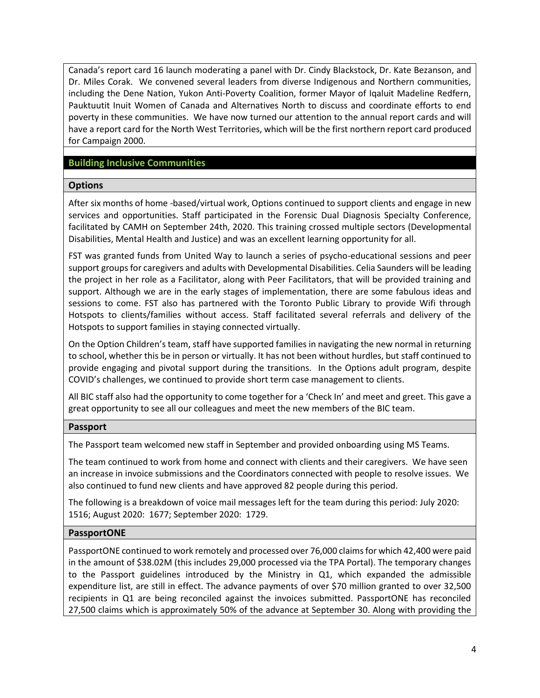Canada's report card 16 launch moderating a panel with Dr. Cindy Blackstock, Dr. Kate Bezanson, and Dr. Miles Corak. We convened several leaders from diverse Indigenous and Northern communities, including the Dene Nation, Yukon Anti-Poverty Coalition, former Mayor of Iqaluit Madeline Redfern, Pauktuutit Inuit Women of Canada and Alternatives North to discuss and coordinate efforts to end poverty in these communities. We have now turned our attention to the annual report cards and will have a report card for the North West Territories, which will be the first northern report card produced for Campaign 2000.

### **Building Inclusive Communities**

#### **Options**

After six months of home -based/virtual work, Options continued to support clients and engage in new services and opportunities. Staff participated in the Forensic Dual Diagnosis Specialty Conference, facilitated by CAMH on September 24th, 2020. This training crossed multiple sectors (Developmental Disabilities, Mental Health and Justice) and was an excellent learning opportunity for all.

FST was granted funds from United Way to launch a series of psycho-educational sessions and peer support groups for caregivers and adults with Developmental Disabilities. Celia Saunders will be leading the project in her role as a Facilitator, along with Peer Facilitators, that will be provided training and support. Although we are in the early stages of implementation, there are some fabulous ideas and sessions to come. FST also has partnered with the Toronto Public Library to provide Wifi through Hotspots to clients/families without access. Staff facilitated several referrals and delivery of the Hotspots to support families in staying connected virtually.

On the Option Children's team, staff have supported families in navigating the new normal in returning to school, whether this be in person or virtually. It has not been without hurdles, but staff continued to provide engaging and pivotal support during the transitions. In the Options adult program, despite COVID's challenges, we continued to provide short term case management to clients.

All BIC staff also had the opportunity to come together for a 'Check In' and meet and greet. This gave a great opportunity to see all our colleagues and meet the new members of the BIC team.

#### **Passport**

The Passport team welcomed new staff in September and provided onboarding using MS Teams.

The team continued to work from home and connect with clients and their caregivers. We have seen an increase in invoice submissions and the Coordinators connected with people to resolve issues. We also continued to fund new clients and have approved 82 people during this period.

The following is a breakdown of voice mail messages left for the team during this period: July 2020: 1516; August 2020: 1677; September 2020: 1729.

### **PassportONE**

PassportONE continued to work remotely and processed over 76,000 claims for which 42,400 were paid in the amount of \$38.02M (this includes 29,000 processed via the TPA Portal). The temporary changes to the Passport guidelines introduced by the Ministry in Q1, which expanded the admissible expenditure list, are still in effect. The advance payments of over \$70 million granted to over 32,500 recipients in Q1 are being reconciled against the invoices submitted. PassportONE has reconciled 27,500 claims which is approximately 50% of the advance at September 30. Along with providing the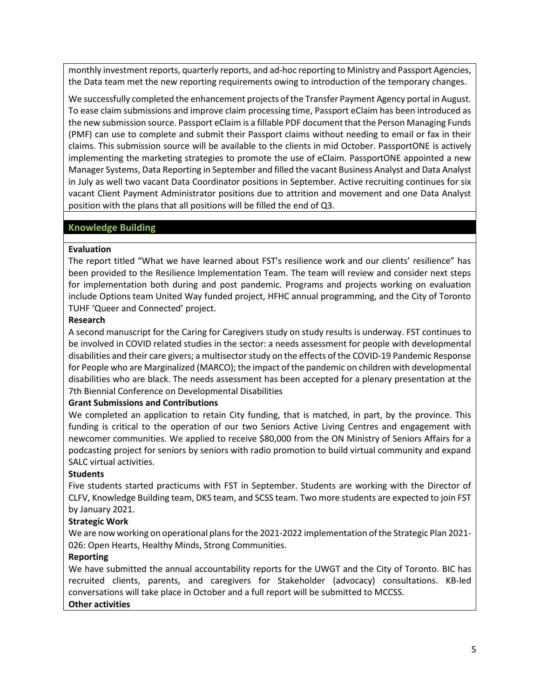monthly investment reports, quarterly reports, and ad-hoc reporting to Ministry and Passport Agencies, the Data team met the new reporting requirements owing to introduction of the temporary changes.

We successfully completed the enhancement projects of the Transfer Payment Agency portal in August. To ease claim submissions and improve claim processing time, Passport eClaim has been introduced as the new submission source. Passport eClaim is a fillable PDF document that the Person Managing Funds (PMF) can use to complete and submit their Passport claims without needing to email or fax in their claims. This submission source will be available to the clients in mid October. PassportONE is actively implementing the marketing strategies to promote the use of eClaim. PassportONE appointed a new Manager Systems, Data Reporting in September and filled the vacant Business Analyst and Data Analyst in July as well two vacant Data Coordinator positions in September. Active recruiting continues for six vacant Client Payment Administrator positions due to attrition and movement and one Data Analyst position with the plans that all positions will be filled the end of Q3.

## **Knowledge Building**

#### **Evaluation**

The report titled "What we have learned about FST's resilience work and our clients' resilience" has been provided to the Resilience Implementation Team. The team will review and consider next steps for implementation both during and post pandemic. Programs and projects working on evaluation include Options team United Way funded project, HFHC annual programming, and the City of Toronto TUHF 'Queer and Connected' project.

#### **Research**

A second manuscript for the Caring for Caregivers study on study results is underway. FST continues to be involved in COVID related studies in the sector: a needs assessment for people with developmental disabilities and their care givers; a multisector study on the effects of the COVID-19 Pandemic Response for People who are Marginalized (MARCO); the impact of the pandemic on children with developmental disabilities who are black. The needs assessment has been accepted for a plenary presentation at the 7th Biennial Conference on Developmental Disabilities

### **Grant Submissions and Contributions**

We completed an application to retain City funding, that is matched, in part, by the province. This funding is critical to the operation of our two Seniors Active Living Centres and engagement with newcomer communities. We applied to receive \$80,000 from the ON Ministry of Seniors Affairs for a podcasting project for seniors by seniors with radio promotion to build virtual community and expand SALC virtual activities.

### **Students**

Five students started practicums with FST in September. Students are working with the Director of CLFV, Knowledge Building team, DKS team, and SCSS team. Two more students are expected to join FST by January 2021.

### **Strategic Work**

We are now working on operational plans for the 2021-2022 implementation of the Strategic Plan 2021- 026: Open Hearts, Healthy Minds, Strong Communities.

### **Reporting**

We have submitted the annual accountability reports for the UWGT and the City of Toronto. BIC has recruited clients, parents, and caregivers for Stakeholder (advocacy) consultations. KB-led conversations will take place in October and a full report will be submitted to MCCSS.

#### **Other activities**